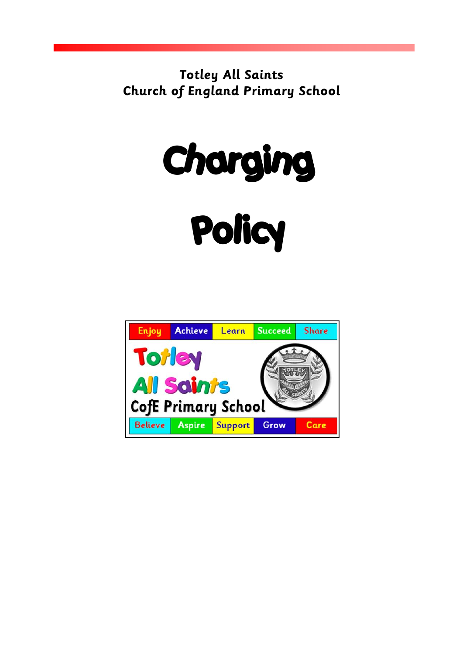**Totley All Saints Church of England Primary School**